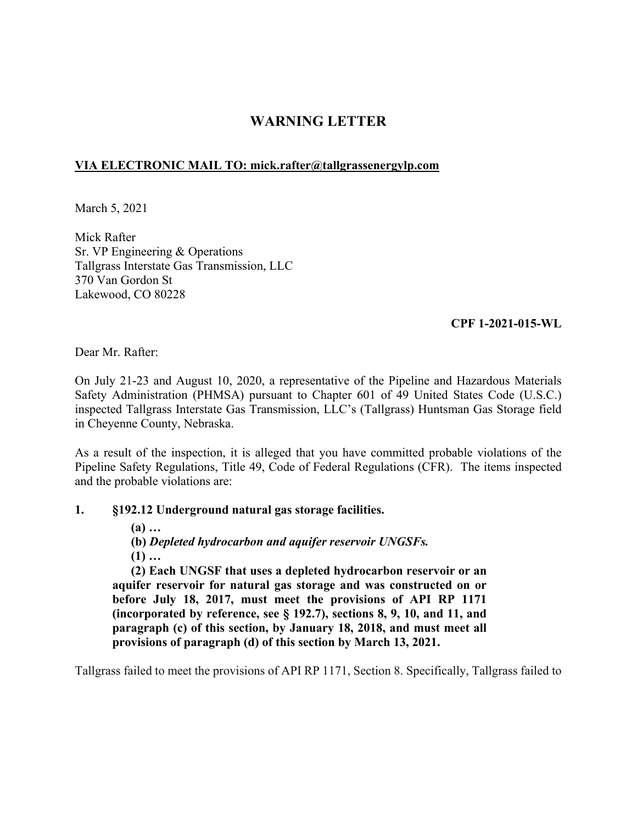# **WARNING LETTER**

# **VIA ELECTRONIC MAIL TO: [mick.rafter@tallgrassenergylp.com](mailto:mick.rafter@tallgrassenergylp.com)**

March 5, 2021

Mick Rafter Sr. VP Engineering & Operations Tallgrass Interstate Gas Transmission, LLC 370 Van Gordon St Lakewood, CO 80228

# **CPF 1-2021-015-WL**

Dear Mr. Rafter:

On July 21-23 and August 10, 2020, a representative of the Pipeline and Hazardous Materials Safety Administration (PHMSA) pursuant to Chapter 601 of 49 United States Code (U.S.C.) inspected Tallgrass Interstate Gas Transmission, LLC's (Tallgrass) Huntsman Gas Storage field in Cheyenne County, Nebraska.

As a result of the inspection, it is alleged that you have committed probable violations of the Pipeline Safety Regulations, Title 49, Code of Federal Regulations (CFR). The items inspected and the probable violations are:

# **1. §192.12 Underground natural gas storage facilities.**

**(a) …** 

**(b)** *Depleted hydrocarbon and aquifer reservoir UNGSFs.* 

**(1) …** 

**(2) Each UNGSF that uses a depleted hydrocarbon reservoir or an aquifer reservoir for natural gas storage and was constructed on or before July 18, 2017, must meet the provisions of API RP 1171 (incorporated by reference, see § 192.7), sections 8, 9, 10, and 11, and paragraph (c) of this section, by January 18, 2018, and must meet all provisions of paragraph (d) of this section by March 13, 2021.** 

Tallgrass failed to meet the provisions of API RP 1171, Section 8. Specifically, Tallgrass failed to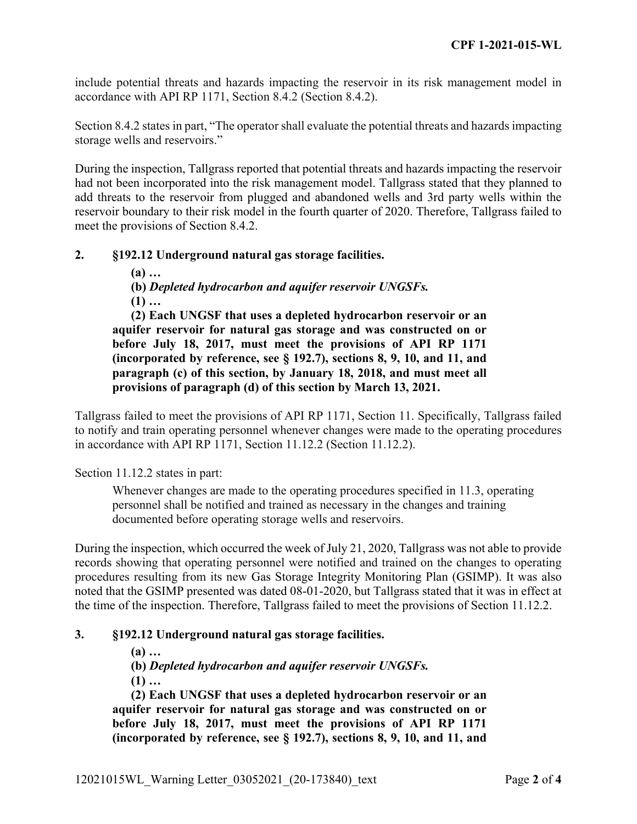include potential threats and hazards impacting the reservoir in its risk management model in accordance with API RP 1171, Section 8.4.2 (Section 8.4.2).

Section 8.4.2 states in part, "The operator shall evaluate the potential threats and hazards impacting storage wells and reservoirs."

During the inspection, Tallgrass reported that potential threats and hazards impacting the reservoir had not been incorporated into the risk management model. Tallgrass stated that they planned to add threats to the reservoir from plugged and abandoned wells and 3rd party wells within the reservoir boundary to their risk model in the fourth quarter of 2020. Therefore, Tallgrass failed to meet the provisions of Section 8.4.2.

## **2. §192.12 Underground natural gas storage facilities.**

**(a) …** 

**(b)** *Depleted hydrocarbon and aquifer reservoir UNGSFs.*  **(1) …** 

**(2) Each UNGSF that uses a depleted hydrocarbon reservoir or an aquifer reservoir for natural gas storage and was constructed on or before July 18, 2017, must meet the provisions of API RP 1171 (incorporated by reference, see § 192.7), sections 8, 9, 10, and 11, and paragraph (c) of this section, by January 18, 2018, and must meet all provisions of paragraph (d) of this section by March 13, 2021.** 

Tallgrass failed to meet the provisions of API RP 1171, Section 11. Specifically, Tallgrass failed to notify and train operating personnel whenever changes were made to the operating procedures in accordance with API RP 1171, Section 11.12.2 (Section 11.12.2).

Section 11.12.2 states in part:

Whenever changes are made to the operating procedures specified in 11.3, operating personnel shall be notified and trained as necessary in the changes and training documented before operating storage wells and reservoirs.

During the inspection, which occurred the week of July 21, 2020, Tallgrass was not able to provide records showing that operating personnel were notified and trained on the changes to operating procedures resulting from its new Gas Storage Integrity Monitoring Plan (GSIMP). It was also noted that the GSIMP presented was dated 08-01-2020, but Tallgrass stated that it was in effect at the time of the inspection. Therefore, Tallgrass failed to meet the provisions of Section 11.12.2.

#### **3. §192.12 Underground natural gas storage facilities.**

**(a) …** 

**(b)** *Depleted hydrocarbon and aquifer reservoir UNGSFs.* 

**(1) …** 

**(2) Each UNGSF that uses a depleted hydrocarbon reservoir or an aquifer reservoir for natural gas storage and was constructed on or before July 18, 2017, must meet the provisions of API RP 1171 (incorporated by reference, see § 192.7), sections 8, 9, 10, and 11, and**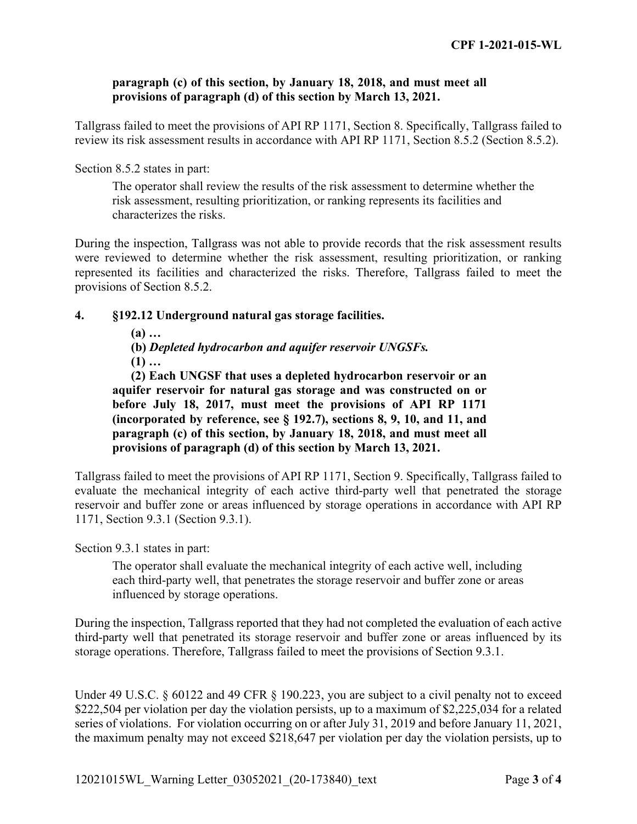### **paragraph (c) of this section, by January 18, 2018, and must meet all provisions of paragraph (d) of this section by March 13, 2021.**

Tallgrass failed to meet the provisions of API RP 1171, Section 8. Specifically, Tallgrass failed to review its risk assessment results in accordance with API RP 1171, Section 8.5.2 (Section 8.5.2).

### Section 8.5.2 states in part:

The operator shall review the results of the risk assessment to determine whether the risk assessment, resulting prioritization, or ranking represents its facilities and characterizes the risks.

During the inspection, Tallgrass was not able to provide records that the risk assessment results were reviewed to determine whether the risk assessment, resulting prioritization, or ranking represented its facilities and characterized the risks. Therefore, Tallgrass failed to meet the provisions of Section 8.5.2.

## **4. §192.12 Underground natural gas storage facilities.**

**(a) …** 

**(b)** *Depleted hydrocarbon and aquifer reservoir UNGSFs.*  **(1) …** 

**(2) Each UNGSF that uses a depleted hydrocarbon reservoir or an aquifer reservoir for natural gas storage and was constructed on or before July 18, 2017, must meet the provisions of API RP 1171 (incorporated by reference, see § 192.7), sections 8, 9, 10, and 11, and paragraph (c) of this section, by January 18, 2018, and must meet all provisions of paragraph (d) of this section by March 13, 2021.** 

Tallgrass failed to meet the provisions of API RP 1171, Section 9. Specifically, Tallgrass failed to evaluate the mechanical integrity of each active third-party well that penetrated the storage reservoir and buffer zone or areas influenced by storage operations in accordance with API RP 1171, Section 9.3.1 (Section 9.3.1).

Section 9.3.1 states in part:

The operator shall evaluate the mechanical integrity of each active well, including each third-party well, that penetrates the storage reservoir and buffer zone or areas influenced by storage operations.

During the inspection, Tallgrass reported that they had not completed the evaluation of each active third-party well that penetrated its storage reservoir and buffer zone or areas influenced by its storage operations. Therefore, Tallgrass failed to meet the provisions of Section 9.3.1.

Under 49 U.S.C. § 60122 and 49 CFR § 190.223, you are subject to a civil penalty not to exceed \$222,504 per violation per day the violation persists, up to a maximum of \$2,225,034 for a related series of violations. For violation occurring on or after July 31, 2019 and before January 11, 2021, the maximum penalty may not exceed \$218,647 per violation per day the violation persists, up to